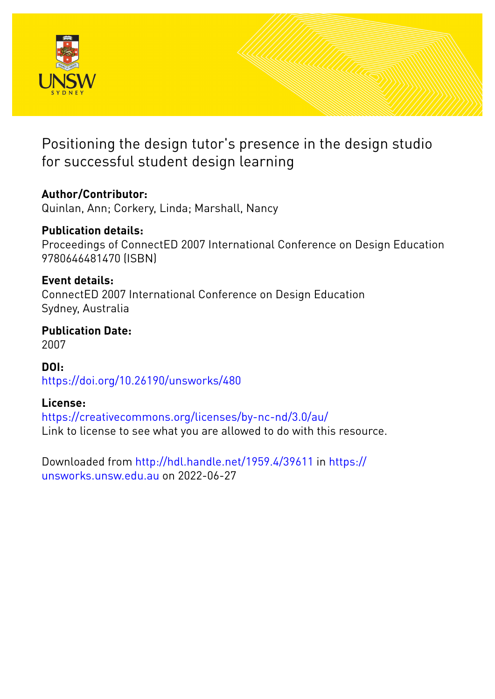

## Positioning the design tutor's presence in the design studio for successful student design learning

## **Author/Contributor:**

Quinlan, Ann; Corkery, Linda; Marshall, Nancy

### **Publication details:** Proceedings of ConnectED 2007 International Conference on Design Education 9780646481470 (ISBN)

### **Event details:** ConnectED 2007 International Conference on Design Education Sydney, Australia

### **Publication Date:** 2007

**DOI:** [https://doi.org/10.26190/unsworks/480](http://dx.doi.org/https://doi.org/10.26190/unsworks/480)

## **License:**

<https://creativecommons.org/licenses/by-nc-nd/3.0/au/> Link to license to see what you are allowed to do with this resource.

Downloaded from <http://hdl.handle.net/1959.4/39611> in [https://](https://unsworks.unsw.edu.au) [unsworks.unsw.edu.au](https://unsworks.unsw.edu.au) on 2022-06-27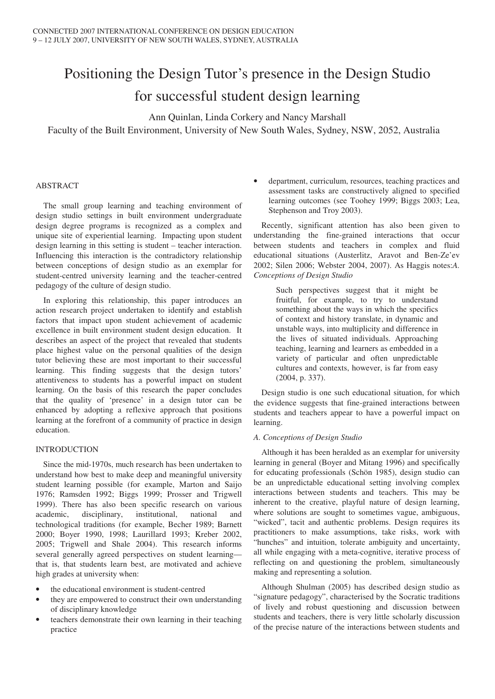# Positioning the Design Tutor's presence in the Design Studio for successful student design learning

Ann Quinlan, Linda Corkery and Nancy Marshall

Faculty of the Built Environment, University of New South Wales, Sydney, NSW, 2052, Australia

#### ABSTRACT

The small group learning and teaching environment of design studio settings in built environment undergraduate design degree programs is recognized as a complex and unique site of experiential learning. Impacting upon student design learning in this setting is student – teacher interaction. Influencing this interaction is the contradictory relationship between conceptions of design studio as an exemplar for student-centred university learning and the teacher-centred pedagogy of the culture of design studio.

In exploring this relationship, this paper introduces an action research project undertaken to identify and establish factors that impact upon student achievement of academic excellence in built environment student design education. It describes an aspect of the project that revealed that students place highest value on the personal qualities of the design tutor believing these are most important to their successful learning. This finding suggests that the design tutors' attentiveness to students has a powerful impact on student learning. On the basis of this research the paper concludes that the quality of 'presence' in a design tutor can be enhanced by adopting a reflexive approach that positions learning at the forefront of a community of practice in design education.

#### INTRODUCTION

Since the mid-1970s, much research has been undertaken to understand how best to make deep and meaningful university student learning possible (for example, Marton and Saijo 1976; Ramsden 1992; Biggs 1999; Prosser and Trigwell 1999). There has also been specific research on various academic, disciplinary, institutional, national and technological traditions (for example, Becher 1989; Barnett 2000; Boyer 1990, 1998; Laurillard 1993; Kreber 2002, 2005; Trigwell and Shale 2004). This research informs several generally agreed perspectives on student learning that is, that students learn best, are motivated and achieve high grades at university when:

- the educational environment is student-centred
- they are empowered to construct their own understanding of disciplinary knowledge
- teachers demonstrate their own learning in their teaching practice

• department, curriculum, resources, teaching practices and assessment tasks are constructively aligned to specified learning outcomes (see Toohey 1999; Biggs 2003; Lea, Stephenson and Troy 2003).

Recently, significant attention has also been given to understanding the fine-grained interactions that occur between students and teachers in complex and fluid educational situations (Austerlitz, Aravot and Ben-Ze'ev 2002; Silen 2006; Webster 2004, 2007). As Haggis notes:*A. Conceptions of Design Studio*

> Such perspectives suggest that it might be fruitful, for example, to try to understand something about the ways in which the specifics of context and history translate, in dynamic and unstable ways, into multiplicity and difference in the lives of situated individuals. Approaching teaching, learning and learners as embedded in a variety of particular and often unpredictable cultures and contexts, however, is far from easy (2004, p. 337).

Design studio is one such educational situation, for which the evidence suggests that fine-grained interactions between students and teachers appear to have a powerful impact on learning.

#### *A. Conceptions of Design Studio*

Although it has been heralded as an exemplar for university learning in general (Boyer and Mitang 1996) and specifically for educating professionals (Schön 1985), design studio can be an unpredictable educational setting involving complex interactions between students and teachers. This may be inherent to the creative, playful nature of design learning, where solutions are sought to sometimes vague, ambiguous, "wicked", tacit and authentic problems. Design requires its practitioners to make assumptions, take risks, work with "hunches" and intuition, tolerate ambiguity and uncertainty, all while engaging with a meta-cognitive, iterative process of reflecting on and questioning the problem, simultaneously making and representing a solution.

Although Shulman (2005) has described design studio as "signature pedagogy", characterised by the Socratic traditions of lively and robust questioning and discussion between students and teachers, there is very little scholarly discussion of the precise nature of the interactions between students and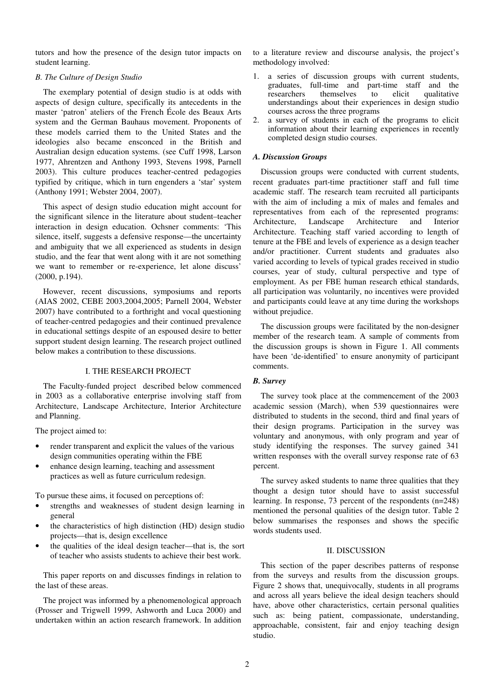tutors and how the presence of the design tutor impacts on student learning.

#### *B. The Culture of Design Studio*

The exemplary potential of design studio is at odds with aspects of design culture, specifically its antecedents in the master 'patron' ateliers of the French École des Beaux Arts system and the German Bauhaus movement. Proponents of these models carried them to the United States and the ideologies also became ensconced in the British and Australian design education systems. (see Cuff 1998, Larson 1977, Ahrentzen and Anthony 1993, Stevens 1998, Parnell 2003). This culture produces teacher-centred pedagogies typified by critique, which in turn engenders a 'star' system (Anthony 1991; Webster 2004, 2007).

This aspect of design studio education might account for the significant silence in the literature about student–teacher interaction in design education. Ochsner comments: 'This silence, itself, suggests a defensive response—the uncertainty and ambiguity that we all experienced as students in design studio, and the fear that went along with it are not something we want to remember or re-experience, let alone discuss' (2000, p.194).

However, recent discussions, symposiums and reports (AIAS 2002, CEBE 2003,2004,2005; Parnell 2004, Webster 2007) have contributed to a forthright and vocal questioning of teacher-centred pedagogies and their continued prevalence in educational settings despite of an espoused desire to better support student design learning. The research project outlined below makes a contribution to these discussions.

#### I. THE RESEARCH PROJECT

The Faculty-funded project described below commenced in 2003 as a collaborative enterprise involving staff from Architecture, Landscape Architecture, Interior Architecture and Planning.

The project aimed to:

- render transparent and explicit the values of the various design communities operating within the FBE
- enhance design learning, teaching and assessment practices as well as future curriculum redesign.

To pursue these aims, it focused on perceptions of:

- strengths and weaknesses of student design learning in general
- the characteristics of high distinction (HD) design studio projects—that is, design excellence
- the qualities of the ideal design teacher—that is, the sort of teacher who assists students to achieve their best work.

This paper reports on and discusses findings in relation to the last of these areas.

The project was informed by a phenomenological approach (Prosser and Trigwell 1999, Ashworth and Luca 2000) and undertaken within an action research framework. In addition to a literature review and discourse analysis, the project's methodology involved:

- 1. a series of discussion groups with current students, graduates, full-time and part-time staff and the themselves to understandings about their experiences in design studio courses across the three programs
- 2. a survey of students in each of the programs to elicit information about their learning experiences in recently completed design studio courses.

#### *A. Discussion Groups*

Discussion groups were conducted with current students, recent graduates part-time practitioner staff and full time academic staff. The research team recruited all participants with the aim of including a mix of males and females and representatives from each of the represented programs: Architecture, Landscape Architecture and Interior Architecture. Teaching staff varied according to length of tenure at the FBE and levels of experience as a design teacher and/or practitioner. Current students and graduates also varied according to levels of typical grades received in studio courses, year of study, cultural perspective and type of employment. As per FBE human research ethical standards, all participation was voluntarily, no incentives were provided and participants could leave at any time during the workshops without prejudice.

The discussion groups were facilitated by the non-designer member of the research team. A sample of comments from the discussion groups is shown in Figure 1. All comments have been 'de-identified' to ensure anonymity of participant comments.

#### *B. Survey*

The survey took place at the commencement of the 2003 academic session (March), when 539 questionnaires were distributed to students in the second, third and final years of their design programs. Participation in the survey was voluntary and anonymous, with only program and year of study identifying the responses. The survey gained 341 written responses with the overall survey response rate of 63 percent.

The survey asked students to name three qualities that they thought a design tutor should have to assist successful learning. In response, 73 percent of the respondents (n=248) mentioned the personal qualities of the design tutor. Table 2 below summarises the responses and shows the specific words students used.

#### II. DISCUSSION

This section of the paper describes patterns of response from the surveys and results from the discussion groups. Figure 2 shows that, unequivocally, students in all programs and across all years believe the ideal design teachers should have, above other characteristics, certain personal qualities such as: being patient, compassionate, understanding, approachable, consistent, fair and enjoy teaching design studio.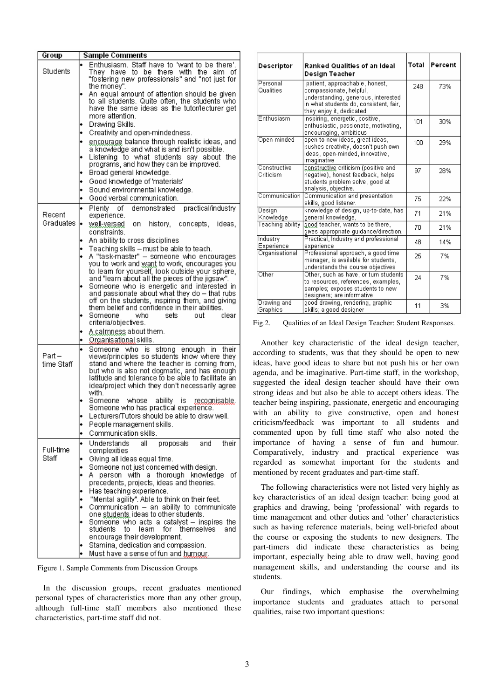| Group               | <b>Sample Comments</b>                                                                                                                                                                                        |  |  |  |
|---------------------|---------------------------------------------------------------------------------------------------------------------------------------------------------------------------------------------------------------|--|--|--|
| Students            | Enthusiasm. Staff have to 'want to be there'.<br>They have to be<br>there<br>with the<br>aim<br>οf<br>"fostering new professionals" and "not just for                                                         |  |  |  |
|                     | the money".<br>An equal amount of attention should be given<br>to all students. Quite often, the students who<br>have the same ideas as the tutor/lecturer get<br>more attention.                             |  |  |  |
|                     | Drawing Skills.                                                                                                                                                                                               |  |  |  |
|                     | Creativity and open-mindedness.                                                                                                                                                                               |  |  |  |
|                     | encourage balance through realistic ideas, and                                                                                                                                                                |  |  |  |
|                     | a knowledge and what is and isn't possible.<br>Listening to what students say<br>about the<br>programs, and how they can be improved.                                                                         |  |  |  |
|                     | Broad general knowledge.                                                                                                                                                                                      |  |  |  |
|                     | Good knowledge of 'materials'                                                                                                                                                                                 |  |  |  |
|                     | Sound environmental knowledge.                                                                                                                                                                                |  |  |  |
|                     | Good verbal communication.                                                                                                                                                                                    |  |  |  |
|                     | οf<br>demonstrated<br>practical/industry<br>Plentv                                                                                                                                                            |  |  |  |
| Recent<br>Graduates | experience.<br><u>well-versed</u> on<br>history, concepts, ideas,<br>constraints.                                                                                                                             |  |  |  |
|                     | An ability to cross disciplines                                                                                                                                                                               |  |  |  |
|                     | Teaching skills - must be able to teach.                                                                                                                                                                      |  |  |  |
|                     | A "task-master" - someone who encourages<br>you to work and <u>want</u> to work, encourages you<br>to leam for yourself, look outside your sphere,<br>and "learn about all the pieces of the jigsaw".         |  |  |  |
|                     | Someone who is energetic and interested in<br>and passionate about what they do – that rubs<br>off on the students, inspiring them, and giving<br>them belief and confidence in their abilities.              |  |  |  |
|                     | Someone<br>who.<br>sets<br>nıit<br>clear<br>criteria/objectives.                                                                                                                                              |  |  |  |
|                     | <u>A calmness</u> about them.<br>Organisational skills.                                                                                                                                                       |  |  |  |
|                     | who is strong enough<br>Someone<br>in<br>their                                                                                                                                                                |  |  |  |
| Part –              | views/principles so students know where they                                                                                                                                                                  |  |  |  |
| time Staff          | stand and where the teacher is coming from,<br>but who is also not dogmatic, and has enough<br>latitude and tolerance to be able to facilitate an<br>idea/project which they don't necessarily agree<br>with. |  |  |  |
|                     | Someone<br>whose<br>abilitv<br>is.<br><u>recognisable, </u><br>Someone who has practical experience.                                                                                                          |  |  |  |
|                     | Lecturers/Tutors should be able to draw well.                                                                                                                                                                 |  |  |  |
|                     | People management skills.                                                                                                                                                                                     |  |  |  |
|                     | Communication skills.                                                                                                                                                                                         |  |  |  |
| Full-time           | Understands<br>all<br>their<br>proposals<br>and<br>complexities                                                                                                                                               |  |  |  |
| Staff               | Giving all ideas equal time.                                                                                                                                                                                  |  |  |  |
|                     | Someone not just concemed with design.<br>οf                                                                                                                                                                  |  |  |  |
|                     | person with a thorough knowledge<br>Α.<br>precedents, projects, ideas and theories.                                                                                                                           |  |  |  |
|                     | Has teaching experience.                                                                                                                                                                                      |  |  |  |
|                     | "Mental agility". Able to think on their feet.                                                                                                                                                                |  |  |  |
|                     | Communication - an ability to communicate                                                                                                                                                                     |  |  |  |
|                     | one students ideas to other students.                                                                                                                                                                         |  |  |  |
|                     | Someone who acts a catalyst - inspires the<br>students<br>to.<br>leam<br>for themselves<br>and<br>encourage their development.                                                                                |  |  |  |
|                     | Stamina, dedication and compassion.                                                                                                                                                                           |  |  |  |
|                     | Must have a sense of fun and humour.                                                                                                                                                                          |  |  |  |
|                     |                                                                                                                                                                                                               |  |  |  |

Figure 1. Sample Comments from Discussion Groups

In the discussion groups, recent graduates mentioned personal types of characteristics more than any other group, although full-time staff members also mentioned these characteristics, part-time staff did not.

| Descriptor                | Ranked Qualities of an Ideal<br>Design Teacher                                                                                                                         | Total           | Percent |
|---------------------------|------------------------------------------------------------------------------------------------------------------------------------------------------------------------|-----------------|---------|
| Personal<br>Qualities     | patient, approachable, honest,<br>compassionate, helpful,<br>understanding, generous, interested<br>in what students do, consistent, fair,<br>they enjoy it, dedicated | 248             | 73%     |
| Enthusiasm                | inspiring, energetic, positive,<br>enthusiastic, passionate, motivating,<br>encouraging, ambitious                                                                     | 1 <sub>01</sub> | 30%     |
| Open-minded               | open to new ideas, great ideas,<br>pushes creativity, doesn't push own.<br>ideas, open-minded, innovative,<br>imaginative                                              | 100             | 29%     |
| Constructive<br>Criticism | constructive criticism (positive and<br>negative), honest feedback, helps<br>students problem solve, good at<br>analysis, objective.                                   | 97              | 28%     |
| Communication             | Communication and presentation<br>skills, good listener.                                                                                                               | 75              | 22%     |
| Design<br>Knowledge       | knowledge of design, up-to-date, has<br>general knowledge,                                                                                                             | 71              | 21%     |
| Teaching ability          | good teacher, wants to be there,<br>gives appropriate guidance/direction.                                                                                              | 70              | 21%     |
| Industry<br>Experience    | Practical, Industry and professional<br>experience                                                                                                                     | 48              | 14%     |
| Organisational            | Professional approach, a good time.<br>manager, is available for students,<br>understands the course objectives                                                        | 25              | 7%      |
| Other                     | Other, such as have, or turn students<br>to resources, references, examples,<br>samples; exposes students to new<br>designers; are informative                         | 24              | 7%      |
| Drawing and<br>Granhics   | good drawing, rendering, graphic<br>skills: a good designer i                                                                                                          | 11              | 3%      |

Fig.2. Qualities of an Ideal Design Teacher: Student Responses.

Another key characteristic of the ideal design teacher, according to students, was that they should be open to new ideas, have good ideas to share but not push his or her own agenda, and be imaginative. Part-time staff, in the workshop, suggested the ideal design teacher should have their own strong ideas and but also be able to accept others ideas. The teacher being inspiring, passionate, energetic and encouraging with an ability to give constructive, open and honest criticism/feedback was important to all students and commented upon by full time staff who also noted the importance of having a sense of fun and humour. Comparatively, industry and practical experience was regarded as somewhat important for the students and mentioned by recent graduates and part-time staff.

The following characteristics were not listed very highly as key characteristics of an ideal design teacher: being good at graphics and drawing, being 'professional' with regards to time management and other duties and 'other' characteristics such as having reference materials, being well-briefed about the course or exposing the students to new designers. The part-timers did indicate these characteristics as being important, especially being able to draw well, having good management skills, and understanding the course and its students.

Our findings, which emphasise the overwhelming importance students and graduates attach to personal qualities, raise two important questions: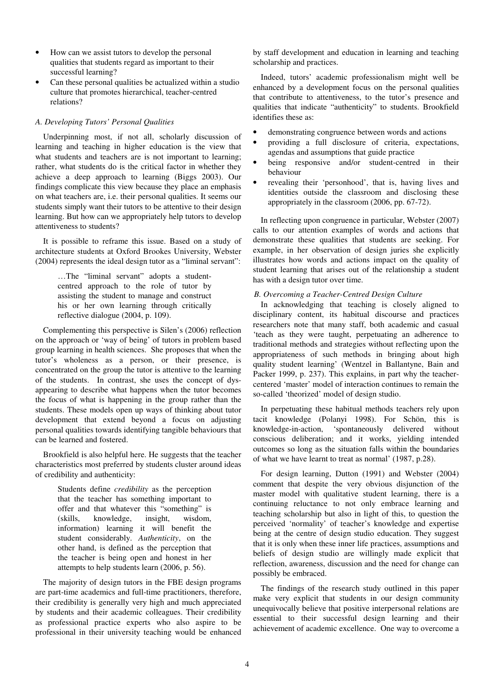- How can we assist tutors to develop the personal qualities that students regard as important to their successful learning?
- Can these personal qualities be actualized within a studio culture that promotes hierarchical, teacher-centred relations?

#### *A. Developing Tutors' Personal Qualities*

Underpinning most, if not all, scholarly discussion of learning and teaching in higher education is the view that what students and teachers are is not important to learning; rather, what students do is the critical factor in whether they achieve a deep approach to learning (Biggs 2003). Our findings complicate this view because they place an emphasis on what teachers are, i.e. their personal qualities. It seems our students simply want their tutors to be attentive to their design learning. But how can we appropriately help tutors to develop attentiveness to students?

It is possible to reframe this issue. Based on a study of architecture students at Oxford Brookes University, Webster (2004) represents the ideal design tutor as a "liminal servant":

> …The "liminal servant" adopts a studentcentred approach to the role of tutor by assisting the student to manage and construct his or her own learning through critically reflective dialogue (2004, p. 109).

Complementing this perspective is Silen's (2006) reflection on the approach or 'way of being' of tutors in problem based group learning in health sciences. She proposes that when the tutor's wholeness as a person, or their presence, is concentrated on the group the tutor is attentive to the learning of the students. In contrast, she uses the concept of dysappearing to describe what happens when the tutor becomes the focus of what is happening in the group rather than the students. These models open up ways of thinking about tutor development that extend beyond a focus on adjusting personal qualities towards identifying tangible behaviours that can be learned and fostered.

Brookfield is also helpful here. He suggests that the teacher characteristics most preferred by students cluster around ideas of credibility and authenticity:

> Students define *credibility* as the perception that the teacher has something important to offer and that whatever this "something" is (skills, knowledge, insight, wisdom, information) learning it will benefit the student considerably. *Authenticity*, on the other hand, is defined as the perception that the teacher is being open and honest in her attempts to help students learn (2006, p. 56).

The majority of design tutors in the FBE design programs are part-time academics and full-time practitioners, therefore, their credibility is generally very high and much appreciated by students and their academic colleagues. Their credibility as professional practice experts who also aspire to be professional in their university teaching would be enhanced by staff development and education in learning and teaching scholarship and practices.

Indeed, tutors' academic professionalism might well be enhanced by a development focus on the personal qualities that contribute to attentiveness, to the tutor's presence and qualities that indicate "authenticity" to students. Brookfield identifies these as:

- demonstrating congruence between words and actions
- providing a full disclosure of criteria, expectations, agendas and assumptions that guide practice
- being responsive and/or student-centred in their behaviour
- revealing their 'personhood', that is, having lives and identities outside the classroom and disclosing these appropriately in the classroom (2006, pp. 67-72).

In reflecting upon congruence in particular, Webster (2007) calls to our attention examples of words and actions that demonstrate these qualities that students are seeking. For example, in her observation of design juries she explicitly illustrates how words and actions impact on the quality of student learning that arises out of the relationship a student has with a design tutor over time.

#### *B. Overcoming a Teacher-Centred Design Culture*

In acknowledging that teaching is closely aligned to disciplinary content, its habitual discourse and practices researchers note that many staff, both academic and casual 'teach as they were taught, perpetuating an adherence to traditional methods and strategies without reflecting upon the appropriateness of such methods in bringing about high quality student learning' (Wentzel in Ballantyne, Bain and Packer 1999, p. 237). This explains, in part why the teachercentered 'master' model of interaction continues to remain the so-called 'theorized' model of design studio.

In perpetuating these habitual methods teachers rely upon tacit knowledge (Polanyi 1998). For Schön, this is knowledge-in-action, 'spontaneously delivered without conscious deliberation; and it works, yielding intended outcomes so long as the situation falls within the boundaries of what we have learnt to treat as normal' (1987, p.28).

For design learning, Dutton (1991) and Webster (2004) comment that despite the very obvious disjunction of the master model with qualitative student learning, there is a continuing reluctance to not only embrace learning and teaching scholarship but also in light of this, to question the perceived 'normality' of teacher's knowledge and expertise being at the centre of design studio education. They suggest that it is only when these inner life practices, assumptions and beliefs of design studio are willingly made explicit that reflection, awareness, discussion and the need for change can possibly be embraced.

The findings of the research study outlined in this paper make very explicit that students in our design community unequivocally believe that positive interpersonal relations are essential to their successful design learning and their achievement of academic excellence. One way to overcome a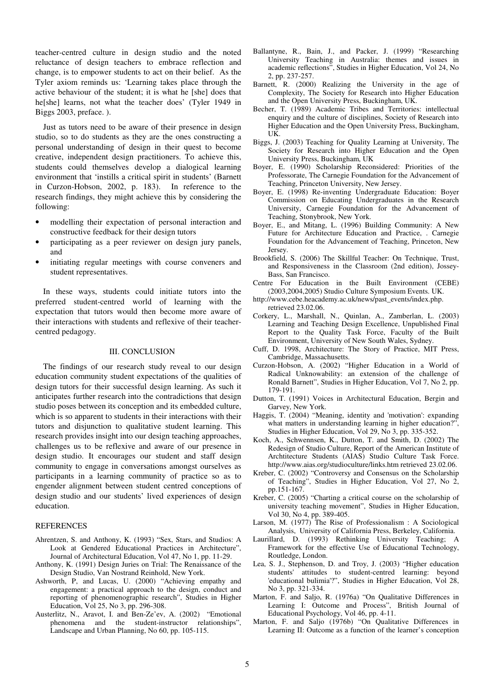teacher-centred culture in design studio and the noted reluctance of design teachers to embrace reflection and change, is to empower students to act on their belief. As the Tyler axiom reminds us: 'Learning takes place through the active behaviour of the student; it is what he [she] does that he[she] learns, not what the teacher does' (Tyler 1949 in Biggs 2003, preface. ).

Just as tutors need to be aware of their presence in design studio, so to do students as they are the ones constructing a personal understanding of design in their quest to become creative, independent design practitioners. To achieve this, students could themselves develop a dialogical learning environment that 'instills a critical spirit in students' (Barnett in Curzon-Hobson, 2002, p. 183). In reference to the research findings, they might achieve this by considering the following:

- modelling their expectation of personal interaction and constructive feedback for their design tutors
- participating as a peer reviewer on design jury panels, and
- initiating regular meetings with course conveners and student representatives.

In these ways, students could initiate tutors into the preferred student-centred world of learning with the expectation that tutors would then become more aware of their interactions with students and reflexive of their teachercentred pedagogy.

#### III. CONCLUSION

The findings of our research study reveal to our design education community student expectations of the qualities of design tutors for their successful design learning. As such it anticipates further research into the contradictions that design studio poses between its conception and its embedded culture, which is so apparent to students in their interactions with their tutors and disjunction to qualitative student learning. This research provides insight into our design teaching approaches, challenges us to be reflexive and aware of our presence in design studio. It encourages our student and staff design community to engage in conversations amongst ourselves as participants in a learning community of practice so as to engender alignment between student centred conceptions of design studio and our students' lived experiences of design education.

#### REFERENCES

- Ahrentzen, S. and Anthony, K. (1993) "Sex, Stars, and Studios: A Look at Gendered Educational Practices in Architecture", Journal of Architectural Education, Vol 47, No 1, pp. 11-29.
- Anthony, K. (1991) Design Juries on Trial: The Renaissance of the Design Studio, Van Nostrand Reinhold, New York.
- Ashworth, P, and Lucas, U. (2000) "Achieving empathy and engagement: a practical approach to the design, conduct and reporting of phenomenographic research", Studies in Higher Education, Vol 25, No 3, pp. 296-308.
- Austerlitz, N., Aravot, I. and Ben-Ze'ev, A. (2002) "Emotional phenomena and the student-instructor relationships", Landscape and Urban Planning, No 60, pp. 105-115.
- Ballantyne, R., Bain, J., and Packer, J. (1999) "Researching University Teaching in Australia: themes and issues in academic reflections", Studies in Higher Education, Vol 24, No 2, pp. 237-257.
- Barnett, R. (2000) Realizing the University in the age of Complexity, The Society for Research into Higher Education and the Open University Press, Buckingham, UK.
- Becher, T. (1989) Academic Tribes and Territories: intellectual enquiry and the culture of disciplines, Society of Research into Higher Education and the Open University Press, Buckingham, UK.
- Biggs, J. (2003) Teaching for Quality Learning at University, The Society for Research into Higher Education and the Open University Press, Buckingham, UK
- Boyer, E. (1990) Scholarship Reconsidered: Priorities of the Professorate, The Carnegie Foundation for the Advancement of Teaching, Princeton University, New Jersey.
- Boyer, E. (1998) Re-inventing Undergraduate Education: Boyer Commission on Educating Undergraduates in the Research University, Carnegie Foundation for the Advancement of Teaching, Stonybrook, New York.
- Boyer, E., and Mitang, L. (1996) Building Community: A New Future for Architecture Education and Practice, . Carnegie Foundation for the Advancement of Teaching, Princeton, New Jersey.
- Brookfield, S. (2006) The Skillful Teacher: On Technique, Trust, and Responsiveness in the Classroom (2nd edition), Jossey-Bass, San Francisco.
- Centre For Education in the Built Environment (CEBE) (2003,2004,2005) Studio Culture Symposium Events. UK.
- http://www.cebe.heacademy.ac.uk/news/past\_events/index.php. retrieved 23.02.06.
- Corkery, L., Marshall, N., Quinlan, A., Zamberlan, L. (2003) Learning and Teaching Design Excellence, Unpublished Final Report to the Quality Task Force, Faculty of the Built Environment, University of New South Wales, Sydney.
- Cuff, D. 1998, Architecture: The Story of Practice, MIT Press, Cambridge, Massachusetts.
- Curzon-Hobson, A. (2002) "Higher Education in a World of Radical Unknowability: an extension of the challenge of Ronald Barnett", Studies in Higher Education, Vol 7, No 2, pp. 179-191.
- Dutton, T. (1991) Voices in Architectural Education, Bergin and Garvey, New York.
- Haggis, T. (2004) "Meaning, identity and 'motivation': expanding what matters in understanding learning in higher education?", Studies in Higher Education, Vol 29, No 3, pp. 335-352.
- Koch, A., Schwennsen, K., Dutton, T. and Smith, D. (2002) The Redesign of Studio Culture, Report of the American Institute of Archtitecture Students (AIAS) Studio Culture Task Force. http://www.aias.org/studioculture/links.htm retrieved 23.02.06.
- Kreber, C. (2002) "Controversy and Consensus on the Scholarship of Teaching", Studies in Higher Education, Vol 27, No 2, pp.151-167.
- Kreber, C. (2005) "Charting a critical course on the scholarship of university teaching movement", Studies in Higher Education, Vol 30, No 4, pp. 389-405.
- Larson, M. (1977) The Rise of Professionalism : A Sociological Analysis, University of California Press, Berkeley, California.
- Laurillard, D. (1993) Rethinking University Teaching; A Framework for the effective Use of Educational Technology, Routledge, London.
- Lea, S. J., Stephenson, D. and Troy, J. (2003) "Higher education students' attitudes to student-centred learning: beyond 'educational bulimia'?", Studies in Higher Education, Vol 28, No 3, pp. 321-334.
- Marton, F. and Saljo, R. (1976a) "On Qualitative Differences in Learning I: Outcome and Process", British Journal of Educational Psychology, Vol 46, pp. 4-11.
- Marton, F. and Saljo (1976b) "On Qualitative Differences in Learning II: Outcome as a function of the learner's conception